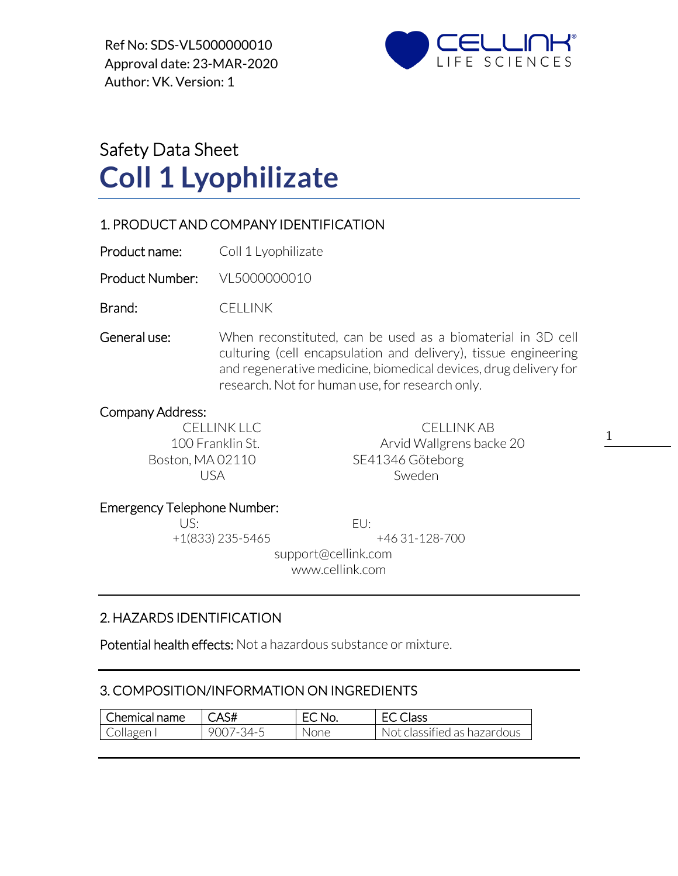Ref No: SDS-VL5000000010 Approval date: 23-MAR-2020 Author: VK. Version: 1



# Safety Data Sheet **Coll 1 Lyophilizate**

# 1. PRODUCT AND COMPANY IDENTIFICATION

Product name: Coll 1 Lyophilizate

Product Number: VL5000000010

Brand: CELLINK

General use: When reconstituted, can be used as a biomaterial in 3D cell culturing (cell encapsulation and delivery), tissue engineering and regenerative medicine, biomedical devices, drug delivery for research. Not for human use, for research only.

#### Company Address:

CELLINK LLC CELLINK AB 100 Franklin St. **Arvid Wallgrens backe 20** Boston, MA 02110 SE41346 Göteborg USA Sweden

1

#### Emergency Telephone Number:

US: EU:

+1(833) 235-5465 +46 31-128-700

 support@cellink.com www.cellink.com

# 2. HAZARDS IDENTIFICATION

Potential health effects: Not a hazardous substance or mixture.

# 3. COMPOSITION/INFORMATION ON INGREDIENTS

| Chemical name | CAS#      | $\widehat{\phantom{a}}$ No. | $\sim$ $\sim$ $\sim$ $\sim$ $\sim$ |
|---------------|-----------|-----------------------------|------------------------------------|
| Collagen      | 9007-34-5 | None:                       | classified as hazardous :<br>Not c |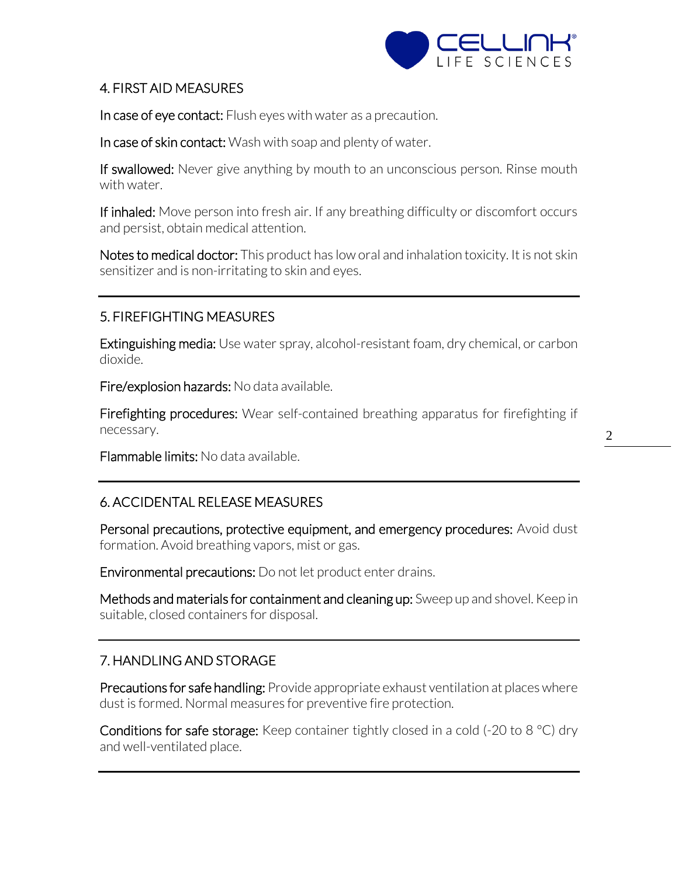

## 4. FIRST AID MEASURES

In case of eye contact: Flush eyes with water as a precaution.

In case of skin contact: Wash with soap and plenty of water.

If swallowed: Never give anything by mouth to an unconscious person. Rinse mouth with water.

If inhaled: Move person into fresh air. If any breathing difficulty or discomfort occurs and persist, obtain medical attention.

Notes to medical doctor: This product has low oral and inhalation toxicity. It is not skin sensitizer and is non-irritating to skin and eyes.

# 5. FIREFIGHTING MEASURES

Extinguishing media: Use water spray, alcohol-resistant foam, dry chemical, or carbon dioxide.

Fire/explosion hazards: No data available.

Firefighting procedures: Wear self-contained breathing apparatus for firefighting if necessary.

Flammable limits: No data available.

# 6. ACCIDENTAL RELEASE MEASURES

Personal precautions, protective equipment, and emergency procedures: Avoid dust formation. Avoid breathing vapors, mist or gas.

Environmental precautions: Do not let product enter drains.

Methods and materials for containment and cleaning up: Sweep up and shovel. Keep in suitable, closed containers for disposal.

# 7. HANDLING AND STORAGE

Precautions for safe handling: Provide appropriate exhaust ventilation at places where dust is formed. Normal measures for preventive fire protection.

**Conditions for safe storage:** Keep container tightly closed in a cold  $(-20 \text{ to } 8 \text{ °C})$  dry and well-ventilated place.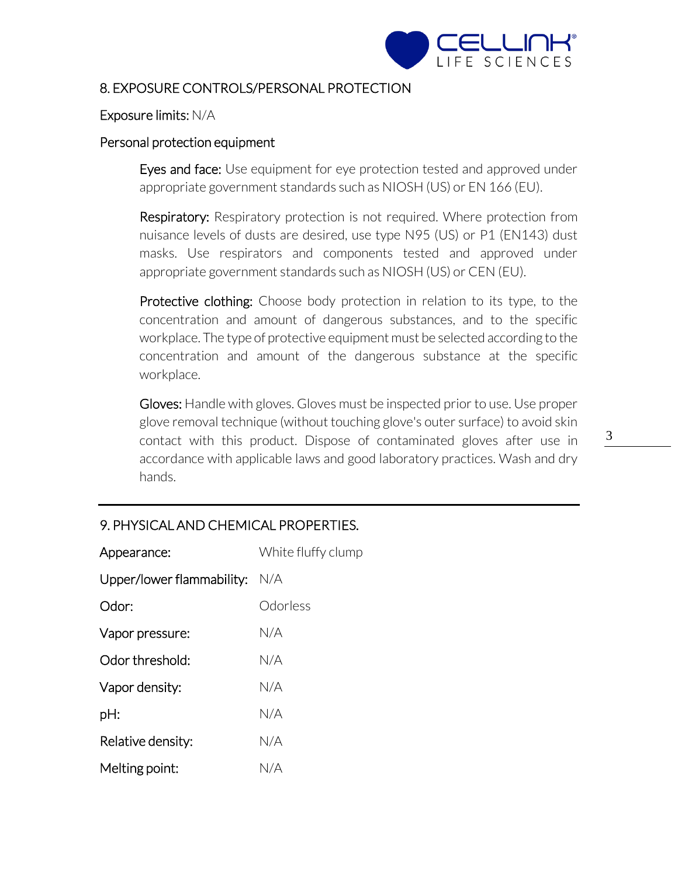

## 8. EXPOSURE CONTROLS/PERSONAL PROTECTION

#### Exposure limits: N/A

#### Personal protection equipment

Eyes and face: Use equipment for eye protection tested and approved under appropriate government standards such as NIOSH (US) or EN 166 (EU).

Respiratory: Respiratory protection is not required. Where protection from nuisance levels of dusts are desired, use type N95 (US) or P1 (EN143) dust masks. Use respirators and components tested and approved under appropriate government standards such as NIOSH (US) or CEN (EU).

**Protective clothing:** Choose body protection in relation to its type, to the concentration and amount of dangerous substances, and to the specific workplace. The type of protective equipment must be selected according to the concentration and amount of the dangerous substance at the specific workplace.

Gloves: Handle with gloves. Gloves must be inspected prior to use. Use proper glove removal technique (without touching glove's outer surface) to avoid skin contact with this product. Dispose of contaminated gloves after use in accordance with applicable laws and good laboratory practices. Wash and dry hands.

# 9. PHYSICAL AND CHEMICAL PROPERTIES.

| Appearance:               | White fluffy clump |
|---------------------------|--------------------|
| Upper/lower flammability: | N/A                |
| Odor:                     | Odorless           |
| Vapor pressure:           | N/A                |
| Odor threshold:           | N/A                |
| Vapor density:            | N/A                |
| pH:                       | N/A                |
| Relative density:         | N/A                |
| Melting point:            | N/A                |

3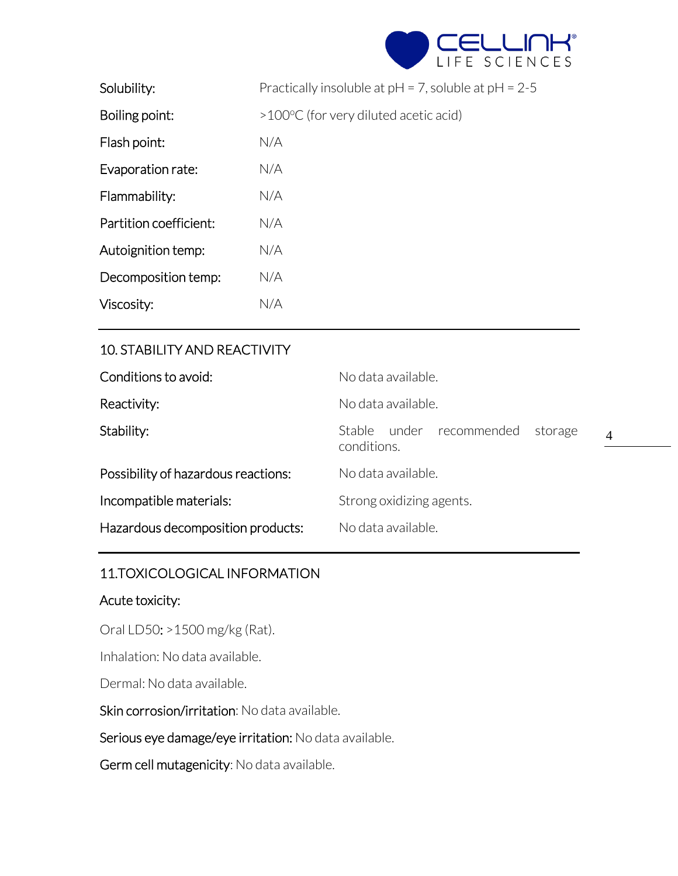

| Solubility:            | Practically insoluble at $pH = 7$ , soluble at $pH = 2-5$ |  |
|------------------------|-----------------------------------------------------------|--|
| Boiling point:         | $>100^{\circ}$ C (for very diluted acetic acid)           |  |
| Flash point:           | N/A                                                       |  |
| Evaporation rate:      | N/A                                                       |  |
| Flammability:          | N/A                                                       |  |
| Partition coefficient: | N/A                                                       |  |
| Autoignition temp:     | N/A                                                       |  |
| Decomposition temp:    | N/A                                                       |  |
| Viscosity:             | N/A                                                       |  |

# 10. STABILITY AND REACTIVITY

| Conditions to avoid:                | No data available.                                                   |  |  |
|-------------------------------------|----------------------------------------------------------------------|--|--|
| Reactivity:                         | No data available.                                                   |  |  |
| Stability:                          | Stable under recommended<br>storage<br>$\overline{4}$<br>conditions. |  |  |
| Possibility of hazardous reactions: | No data available.                                                   |  |  |
| Incompatible materials:             | Strong oxidizing agents.                                             |  |  |
| Hazardous decomposition products:   | No data available.                                                   |  |  |

# 11.TOXICOLOGICAL INFORMATION

## Acute toxicity:

Oral LD50: >1500 mg/kg (Rat).

Inhalation: No data available.

Dermal: No data available.

Skin corrosion/irritation: No data available.

Serious eye damage/eye irritation: No data available.

Germ cell mutagenicity: No data available.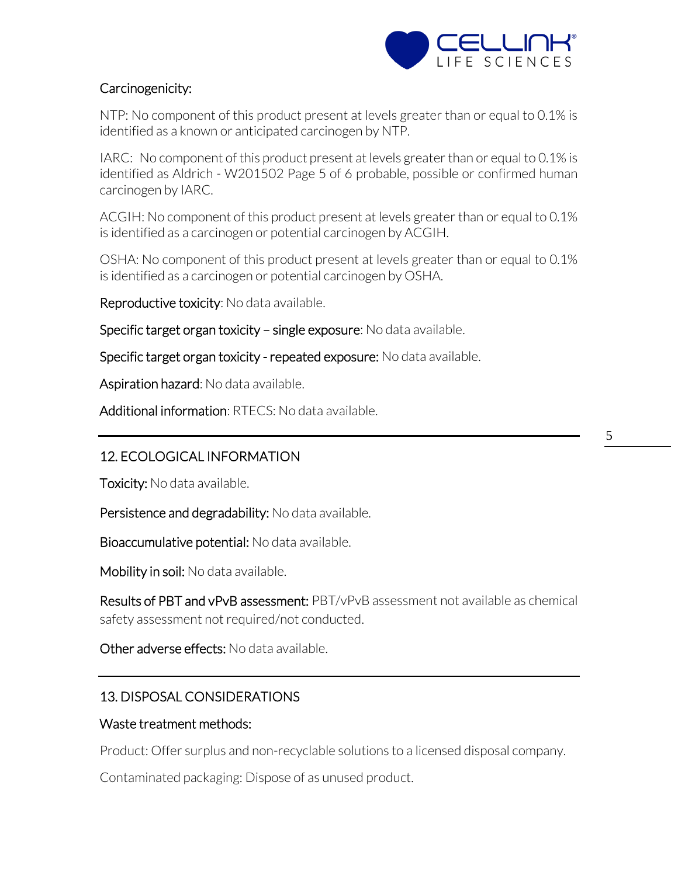

## Carcinogenicity:

NTP: No component of this product present at levels greater than or equal to 0.1% is identified as a known or anticipated carcinogen by NTP.

IARC: No component of this product present at levels greater than or equal to 0.1% is identified as Aldrich - W201502 Page 5 of 6 probable, possible or confirmed human carcinogen by IARC.

ACGIH: No component of this product present at levels greater than or equal to 0.1% is identified as a carcinogen or potential carcinogen by ACGIH.

OSHA: No component of this product present at levels greater than or equal to 0.1% is identified as a carcinogen or potential carcinogen by OSHA.

Reproductive toxicity: No data available.

Specific target organ toxicity – single exposure: No data available.

Specific target organ toxicity - repeated exposure: No data available.

Aspiration hazard: No data available.

Additional information: RTECS: No data available.

# 12. ECOLOGICAL INFORMATION

**Toxicity:** No data available.

Persistence and degradability: No data available.

Bioaccumulative potential: No data available.

Mobility in soil: No data available.

Results of PBT and vPvB assessment: PBT/vPvB assessment not available as chemical safety assessment not required/not conducted.

Other adverse effects: No data available.

# 13. DISPOSAL CONSIDERATIONS

#### Waste treatment methods:

Product: Offer surplus and non-recyclable solutions to a licensed disposal company.

Contaminated packaging: Dispose of as unused product.